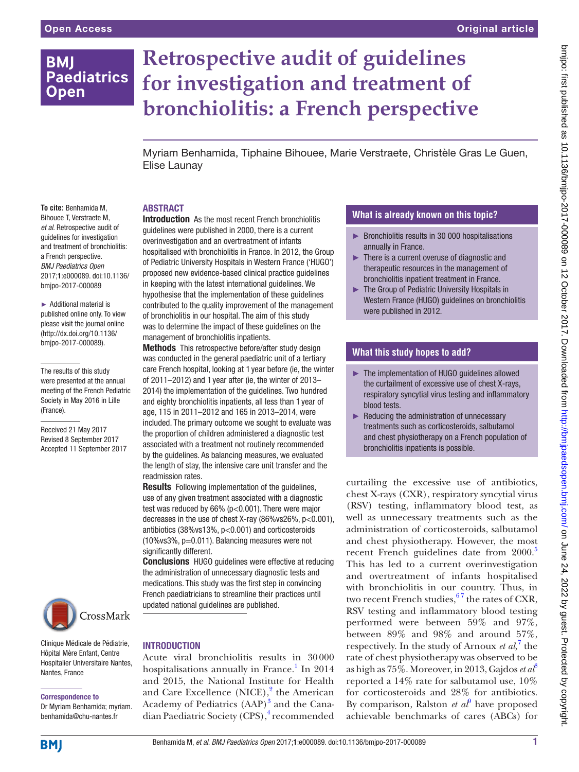# **BMJ Paediatrics Open**

# **Retrospective audit of guidelines for investigation and treatment of bronchiolitis: a French perspective**

Myriam Benhamida, Tiphaine Bihouee, Marie Verstraete, Christèle Gras Le Guen, Elise Launay

# **ABSTRACT**

**To cite:** Benhamida M, Bihouee T, Verstraete M, *et al*. Retrospective audit of guidelines for investigation and treatment of bronchiolitis: a French perspective. *BMJ Paediatrics Open* 2017;1:e000089. doi:10.1136/ bmjpo-2017-000089

► Additional material is published online only. To view please visit the journal online (http://dx.doi.org/10.1136/ bmjpo-2017-000089).

The results of this study were presented at the annual meeting of the French Pediatric Society in May 2016 in Lille (France).

Received 21 May 2017 Revised 8 September 2017 Accepted 11 September 2017



Clinique Médicale de Pédiatrie, Hôpital Mère Enfant, Centre Hospitalier Universitaire Nantes, Nantes, France

# Correspondence to

Dr Myriam Benhamida; myriam. benhamida@chu-nantes.fr

Introduction As the most recent French bronchiolitis guidelines were published in 2000, there is a current overinvestigation and an overtreatment of infants hospitalised with bronchiolitis in France. In 2012, the Group of Pediatric University Hospitals in Western France ('HUGO') proposed new evidence-based clinical practice guidelines in keeping with the latest international guidelines. We hypothesise that the implementation of these guidelines contributed to the quality improvement of the management of bronchiolitis in our hospital. The aim of this study was to determine the impact of these guidelines on the management of bronchiolitis inpatients.

Methods This retrospective before/after study design was conducted in the general paediatric unit of a tertiary care French hospital, looking at 1 year before (ie, the winter of 2011–2012) and 1 year after (ie, the winter of 2013– 2014) the implementation of the guidelines. Two hundred and eighty bronchiolitis inpatients, all less than 1 year of age, 115 in 2011–2012 and 165 in 2013–2014, were included. The primary outcome we sought to evaluate was the proportion of children administered a diagnostic test associated with a treatment not routinely recommended by the guidelines. As balancing measures, we evaluated the length of stay, the intensive care unit transfer and the readmission rates.

Results Following implementation of the guidelines, use of any given treatment associated with a diagnostic test was reduced by 66% (p<0.001). There were major decreases in the use of chest X-ray (86%vs26%, p<0.001), antibiotics (38%vs13%, p<0.001) and corticosteroids (10%vs3%, p=0.011). Balancing measures were not significantly different.

Conclusions HUGO guidelines were effective at reducing the administration of unnecessary diagnostic tests and medications. This study was the first step in convincing French paediatricians to streamline their practices until updated national guidelines are published.

# **INTRODUCTION**

Acute viral bronchiolitis results in 30000 hospitalisations annually in France.<sup>1</sup> In 2014 and 2015, the National Institute for Health and Care Excellence (NICE),<sup>2</sup> the American Academy of Pediatrics (AAP)<sup>3</sup> and the Canadian Paediatric Society (CPS),<sup>4</sup> recommended

# **What is already known on this topic?**

- ► Bronchiolitis results in 30 000 hospitalisations annually in France.
- ► There is a current overuse of diagnostic and therapeutic resources in the management of bronchiolitis inpatient treatment in France.
- ► The Group of Pediatric University Hospitals in Western France (HUGO) guidelines on bronchiolitis were published in 2012.

# **What this study hopes to add?**

- ► The implementation of HUGO guidelines allowed the curtailment of excessive use of chest X-rays, respiratory syncytial virus testing and inflammatory blood tests.
- ► Reducing the administration of unnecessary treatments such as corticosteroids, salbutamol and chest physiotherapy on a French population of bronchiolitis inpatients is possible.

curtailing the excessive use of antibiotics, chest X-rays (CXR), respiratory syncytial virus (RSV) testing, inflammatory blood test, as well as unnecessary treatments such as the administration of corticosteroids, salbutamol and chest physiotherapy. However, the most recent French guidelines date from 2000.<sup>5</sup> This has led to a current overinvestigation and overtreatment of infants hospitalised with bronchiolitis in our country. Thus, in two recent French studies,  $67$  the rates of CXR, RSV testing and inflammatory blood testing performed were between 59% and 97%, between 89% and 98% and around 57%, respectively. In the study of Arnoux *et al*,<sup>[7](#page-6-1)</sup> the rate of chest physiotherapy was observed to be as high as 75%. Moreover, in 2013, Gajdos *et al*[8](#page-6-2) reported a 14% rate for salbutamol use, 10% for corticosteroids and 28% for antibiotics. By comparison, Ralston *et al*<sup> $\theta$ </sup> have proposed achievable benchmarks of cares (ABCs) for

**BMJ**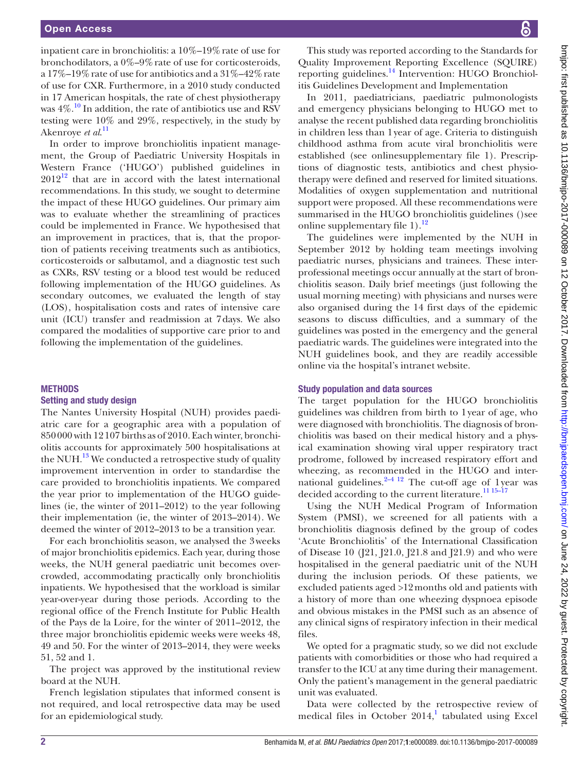inpatient care in bronchiolitis: a 10%–19%rate of use for bronchodilators, a 0%–9%rate of use for corticosteroids, a  $17\%$ –19% rate of use for antibiotics and a  $31\%$ –42% rate of use for CXR. Furthermore, in a 2010 study conducted in 17 American hospitals, the rate of chest physiotherapy was  $4\%$ .<sup>10</sup> In addition, the rate of antibiotics use and RSV testing were 10% and 29%, respectively, in the study by Akenroye *et al*. [11](#page-6-5)

In order to improve bronchiolitis inpatient management, the Group of Paediatric University Hospitals in Western France ('HUGO') published guidelines in  $2012^{12}$  that are in accord with the latest international recommendations. In this study, we sought to determine the impact of these HUGO guidelines. Our primary aim was to evaluate whether the streamlining of practices could be implemented in France. We hypothesised that an improvement in practices, that is, that the proportion of patients receiving treatments such as antibiotics, corticosteroids or salbutamol, and a diagnostic test such as CXRs, RSV testing or a blood test would be reduced following implementation of the HUGO guidelines. As secondary outcomes, we evaluated the length of stay (LOS), hospitalisation costs and rates of intensive care unit (ICU) transfer and readmission at 7days. We also compared the modalities of supportive care prior to and following the implementation of the guidelines.

#### **METHODS**

#### Setting and study design

The Nantes University Hospital (NUH) provides paediatric care for a geographic area with a population of 850000 with 12107 births as of 2010. Each winter, bronchiolitis accounts for approximately 500 hospitalisations at the NUH. $^{13}$  We conducted a retrospective study of quality improvement intervention in order to standardise the care provided to bronchiolitis inpatients. We compared the year prior to implementation of the HUGO guidelines (ie, the winter of 2011–2012) to the year following their implementation (ie, the winter of 2013–2014). We deemed the winter of 2012–2013 to be a transition year.

For each bronchiolitis season, we analysed the 3weeks of major bronchiolitis epidemics. Each year, during those weeks, the NUH general paediatric unit becomes overcrowded, accommodating practically only bronchiolitis inpatients. We hypothesised that the workload is similar year-over-year during those periods. According to the regional office of the French Institute for Public Health of the Pays de la Loire, for the winter of 2011–2012, the three major bronchiolitis epidemic weeks were weeks 48, 49 and 50. For the winter of 2013–2014, they were weeks 51, 52 and 1.

The project was approved by the institutional review board at the NUH.

French legislation stipulates that informed consent is not required, and local retrospective data may be used for an epidemiological study.

This study was reported according to the Standards for Quality Improvement Reporting Excellence (SQUIRE) reporting guidelines.[14](#page-6-8) Intervention: HUGO Bronchiolitis Guidelines Development and Implementation

In 2011, paediatricians, paediatric pulmonologists and emergency physicians belonging to HUGO met to analyse the recent published data regarding bronchiolitis in children less than 1year of age. Criteria to distinguish childhood asthma from acute viral bronchiolitis were established (see online[supplementary file 1\)](https://dx.doi.org/10.1136/bmjpo-2017-000089). Prescriptions of diagnostic tests, antibiotics and chest physiotherapy were defined and reserved for limited situations. Modalities of oxygen supplementation and nutritional support were proposed. All these recommendations were summarised in the HUGO bronchiolitis guidelines ()see online supplementary file  $1$ ).<sup>[12](#page-6-6)</sup>

The guidelines were implemented by the NUH in September 2012 by holding team meetings involving paediatric nurses, physicians and trainees. These interprofessional meetings occur annually at the start of bronchiolitis season. Daily brief meetings (just following the usual morning meeting) with physicians and nurses were also organised during the 14 first days of the epidemic seasons to discuss difficulties, and a summary of the guidelines was posted in the emergency and the general paediatric wards. The guidelines were integrated into the NUH guidelines book, and they are readily accessible online via the hospital's intranet website.

#### Study population and data sources

The target population for the HUGO bronchiolitis guidelines was children from birth to 1year of age, who were diagnosed with bronchiolitis. The diagnosis of bronchiolitis was based on their medical history and a physical examination showing viral upper respiratory tract prodrome, followed by increased respiratory effort and wheezing, as recommended in the HUGO and international guidelines. $2-4$  12 The cut-off age of 1 year was decided according to the current literature.<sup>11 15-17</sup>

Using the NUH Medical Program of Information System (PMSI), we screened for all patients with a bronchiolitis diagnosis defined by the group of codes 'Acute Bronchiolitis' of the International Classification of Disease 10 (J21, J21.0, J21.8 and J21.9) and who were hospitalised in the general paediatric unit of the NUH during the inclusion periods. Of these patients, we excluded patients aged >12months old and patients with a history of more than one wheezing dyspnoea episode and obvious mistakes in the PMSI such as an absence of any clinical signs of respiratory infection in their medical files.

We opted for a pragmatic study, so we did not exclude patients with comorbidities or those who had required a transfer to the ICU at any time during their management. Only the patient's management in the general paediatric unit was evaluated.

Data were collected by the retrospective review of medical files in October  $2014$  $2014$  $2014$ ,<sup>1</sup> tabulated using Excel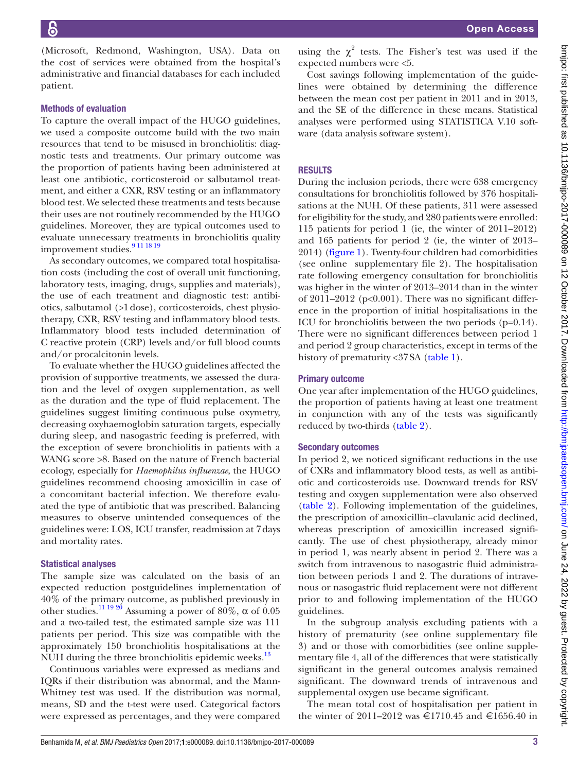(Microsoft, Redmond, Washington, USA). Data on the cost of services were obtained from the hospital's administrative and financial databases for each included patient.

#### Methods of evaluation

To capture the overall impact of the HUGO guidelines, we used a composite outcome build with the two main resources that tend to be misused in bronchiolitis: diagnostic tests and treatments. Our primary outcome was the proportion of patients having been administered at least one antibiotic, corticosteroid or salbutamol treatment, and either a CXR, RSV testing or an inflammatory blood test. We selected these treatments and tests because their uses are not routinely recommended by the HUGO guidelines. Moreover, they are typical outcomes used to evaluate unnecessary treatments in bronchiolitis quality improvement studies.<sup>[9 11 18 19](#page-6-3)</sup>

As secondary outcomes, we compared total hospitalisation costs (including the cost of overall unit functioning, laboratory tests, imaging, drugs, supplies and materials), the use of each treatment and diagnostic test: antibiotics, salbutamol (>1dose), corticosteroids, chest physiotherapy, CXR, RSV testing and inflammatory blood tests. Inflammatory blood tests included determination of C reactive protein (CRP) levels and/or full blood counts and/or procalcitonin levels.

To evaluate whether the HUGO guidelines affected the provision of supportive treatments, we assessed the duration and the level of oxygen supplementation, as well as the duration and the type of fluid replacement. The guidelines suggest limiting continuous pulse oxymetry, decreasing oxyhaemoglobin saturation targets, especially during sleep, and nasogastric feeding is preferred, with the exception of severe bronchiolitis in patients with a WANG score >8. Based on the nature of French bacterial ecology, especially for *Haemophilus influenzae*, the HUGO guidelines recommend choosing amoxicillin in case of a concomitant bacterial infection. We therefore evaluated the type of antibiotic that was prescribed. Balancing measures to observe unintended consequences of the guidelines were: LOS, ICU transfer, readmission at 7days and mortality rates.

#### Statistical analyses

The sample size was calculated on the basis of an expected reduction postguidelines implementation of 40% of the primary outcome, as published previously in other studies.<sup>11 19 20</sup> Assuming a power of 80%,  $\alpha$  of 0.05 and a two-tailed test, the estimated sample size was 111 patients per period. This size was compatible with the approximately 150 bronchiolitis hospitalisations at the NUH during the three bronchiolitis epidemic weeks.<sup>[13](#page-6-7)</sup>

Continuous variables were expressed as medians and IQRs if their distribution was abnormal, and the Mann-Whitney test was used. If the distribution was normal, means, SD and the t-test were used. Categorical factors were expressed as percentages, and they were compared

using the  $\chi^2$  tests. The Fisher's test was used if the expected numbers were <5.

Cost savings following implementation of the guidelines were obtained by determining the difference between the mean cost per patient in 2011 and in 2013, and the SE of the difference in these means. Statistical analyses were performed using STATISTICA V.10 software (data analysis software system).

#### **RESULTS**

During the inclusion periods, there were 638 emergency consultations for bronchiolitis followed by 376 hospitalisations at the NUH. Of these patients, 311 were assessed for eligibility for the study, and 280 patients were enrolled: 115 patients for period 1 (ie, the winter of 2011–2012) and 165 patients for period 2 (ie, the winter of 2013– 2014) ([figure](#page-3-0) 1). Twenty-four children had comorbidities (see online [supplementary file 2\).](https://dx.doi.org/10.1136/bmjpo-2017-000089) The hospitalisation rate following emergency consultation for bronchiolitis was higher in the winter of 2013–2014 than in the winter of 2011–2012 (p<0.001). There was no significant difference in the proportion of initial hospitalisations in the ICU for bronchiolitis between the two periods (p=0.14). There were no significant differences between period 1 and period 2 group characteristics, except in terms of the history of prematurity <37SA [\(table](#page-3-1) 1).

#### Primary outcome

One year after implementation of the HUGO guidelines, the proportion of patients having at least one treatment in conjunction with any of the tests was significantly reduced by two-thirds ([table](#page-4-0) 2).

#### Secondary outcomes

In period 2, we noticed significant reductions in the use of CXRs and inflammatory blood tests, as well as antibiotic and corticosteroids use. Downward trends for RSV testing and oxygen supplementation were also observed [\(table](#page-4-0) 2). Following implementation of the guidelines, the prescription of amoxicillin–clavulanic acid declined, whereas prescription of amoxicillin increased significantly. The use of chest physiotherapy, already minor in period 1, was nearly absent in period 2. There was a switch from intravenous to nasogastric fluid administration between periods 1 and 2. The durations of intravenous or nasogastric fluid replacement were not different prior to and following implementation of the HUGO guidelines.

In the subgroup analysis excluding patients with a history of prematurity (see online [supplementary](https://dx.doi.org/10.1136/bmjpo-2017-000089) file [3](https://dx.doi.org/10.1136/bmjpo-2017-000089)) and or those with comorbidities (see online [supple](https://dx.doi.org/10.1136/bmjpo-2017-000089)[mentary file 4](https://dx.doi.org/10.1136/bmjpo-2017-000089), all of the differences that were statistically significant in the general outcomes analysis remained significant. The downward trends of intravenous and supplemental oxygen use became significant.

The mean total cost of hospitalisation per patient in the winter of 2011–2012 was €1710.45 and €1656.40 in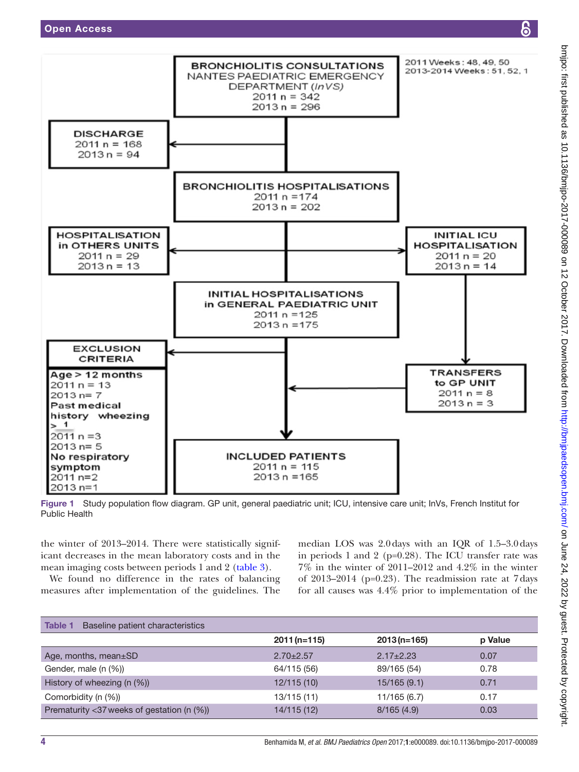

<span id="page-3-0"></span>Figure 1 Study population flow diagram. GP unit, general paediatric unit; ICU, intensive care unit; InVs, French Institut for Public Health

the winter of 2013–2014. There were statistically significant decreases in the mean laboratory costs and in the mean imaging costs between periods 1 and 2 [\(table](#page-4-1) 3).

We found no difference in the rates of balancing measures after implementation of the guidelines. The

median LOS was 2.0days with an IQR of 1.5–3.0days in periods 1 and 2 (p=0.28). The ICU transfer rate was 7% in the winter of 2011–2012 and 4.2% in the winter of 2013–2014 (p=0.23). The readmission rate at 7days for all causes was 4.4% prior to implementation of the

<span id="page-3-1"></span>

| <b>Table 1</b><br>Baseline patient characteristics |                 |                 |         |
|----------------------------------------------------|-----------------|-----------------|---------|
|                                                    | $2011(n=115)$   | $2013(n=165)$   | p Value |
| Age, months, mean±SD                               | $2.70 \pm 2.57$ | $2.17 \pm 2.23$ | 0.07    |
| Gender, male (n (%))                               | 64/115 (56)     | 89/165 (54)     | 0.78    |
| History of wheezing (n (%))                        | 12/115(10)      | 15/165(9.1)     | 0.71    |
| Comorbidity (n (%))                                | 13/115(11)      | 11/165(6.7)     | 0.17    |
| Prematurity <37 weeks of gestation (n (%))         | 14/115 (12)     | 8/165(4.9)      | 0.03    |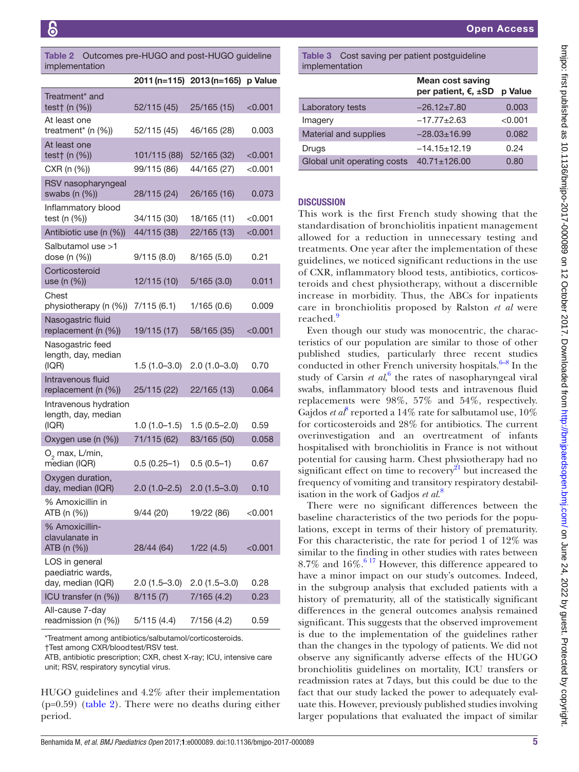<span id="page-4-0"></span>Table 2 Outcomes pre-HUGO and post-HUGO guideline implementation

|                                                          |                | 2011 (n=115) 2013 (n=165) | p Value       |
|----------------------------------------------------------|----------------|---------------------------|---------------|
| Treatment <sup>*</sup> and<br>test† (n (%))              | 52/115 (45)    | 25/165 (15)               | < 0.001       |
| At least one<br>treatment* (n (%))                       | 52/115 (45)    | 46/165 (28)               | 0.003         |
| At least one<br>test $\uparrow$ (n $(\%)$ )              | 101/115 (88)   | 52/165 (32)               | $<$ 0.001 $<$ |
| CXR (n (%))                                              | 99/115 (86)    | 44/165 (27)               | $<$ 0.001 $<$ |
| RSV nasopharyngeal<br>swabs (n (%))                      | 28/115 (24)    | 26/165 (16)               | 0.073         |
| Inflammatory blood<br>test (n (%))                       | 34/115 (30)    | 18/165 (11)               | $<$ 0.001     |
| Antibiotic use (n (%))                                   | 44/115 (38)    | 22/165 (13)               | < 0.001       |
| Salbutamol use >1<br>dose (n (%))                        | 9/115(8.0)     | 8/165(5.0)                | 0.21          |
| Corticosteroid<br>use (n (%))                            | 12/115 (10)    | 5/165(3.0)                | 0.011         |
| Chest<br>physiotherapy (n (%))                           | 7/115(6.1)     | 1/165(0.6)                | 0.009         |
| Nasogastric fluid<br>replacement (n (%))                 | 19/115 (17)    | 58/165 (35)               | < 0.001       |
| Nasogastric feed<br>length, day, median<br>(IQR)         | $1.5(1.0-3.0)$ | $2.0(1.0-3.0)$            | 0.70          |
| Intravenous fluid<br>replacement (n (%))                 | 25/115 (22)    | 22/165 (13)               | 0.064         |
| Intravenous hydration<br>length, day, median<br>(IQR)    | $1.0(1.0-1.5)$ | $1.5(0.5-2.0)$            | 0.59          |
| Oxygen use (n (%))                                       | 71/115 (62)    | 83/165 (50)               | 0.058         |
| $O_2$ max, L/min,<br>median (IQR)                        | $0.5(0.25-1)$  | $0.5(0.5-1)$              | 0.67          |
| Oxygen duration,<br>day, median (IQR)                    | $2.0(1.0-2.5)$ | $2.0(1.5-3.0)$            | 0.10          |
| % Amoxicillin in<br>ATB (n (%))                          | 9/44(20)       | 19/22 (86)                | $<$ 0.001     |
| % Amoxicillin-<br>clavulanate in<br>ATB (n (%))          | 28/44 (64)     | 1/22(4.5)                 | $<$ 0.001     |
| LOS in general<br>paediatric wards,<br>day, median (IQR) | $2.0(1.5-3.0)$ | $2.0(1.5-3.0)$            | 0.28          |
| ICU transfer (n (%))                                     | 8/115(7)       | 7/165(4.2)                | 0.23          |
| All-cause 7-day<br>readmission (n (%))                   | 5/115(4.4)     | 7/156 (4.2)               | 0.59          |

\*Treatment among antibiotics/salbutamol/corticosteroids.

†Test among CXR/bloodtest/RSV test.

ATB, antibiotic prescription; CXR, chest X-ray; ICU, intensive care unit; RSV, respiratory syncytial virus.

HUGO guidelines and 4.2% after their implementation  $(p=0.59)$  ([table](#page-4-0) 2). There were no deaths during either period.

<span id="page-4-1"></span>Table 3 Cost saving per patient postguideline implementation

|                             | Mean cost saving<br>per patient, €, ±SD | p Value |
|-----------------------------|-----------------------------------------|---------|
| Laboratory tests            | $-26.12 \pm 7.80$                       | 0.003   |
| Imagery                     | $-17.77+2.63$                           | < 0.001 |
| Material and supplies       | $-28.03 \pm 16.99$                      | 0.082   |
| Drugs                       | $-14.15+12.19$                          | 0.24    |
| Global unit operating costs | $40.71 \pm 126.00$                      | 0.80    |

### **DISCUSSION**

This work is the first French study showing that the standardisation of bronchiolitis inpatient management allowed for a reduction in unnecessary testing and treatments. One year after the implementation of these guidelines, we noticed significant reductions in the use of CXR, inflammatory blood tests, antibiotics, corticosteroids and chest physiotherapy, without a discernible increase in morbidity. Thus, the ABCs for inpatients care in bronchiolitis proposed by Ralston *et al* were reached.<sup>[9](#page-6-3)</sup>

Even though our study was monocentric, the characteristics of our population are similar to those of other published studies, particularly three recent studies conducted in other French university hospitals. $6-8$  In the study of Carsin *et al*,<sup>[6](#page-6-0)</sup> the rates of nasopharyngeal viral swabs, inflammatory blood tests and intravenous fluid replacements were 98%, 57% and 54%, respectively. Gajdos *et al*<sup>[8](#page-6-2)</sup> reported a 14% rate for salbutamol use,  $10\%$ for corticosteroids and 28% for antibiotics. The current overinvestigation and an overtreatment of infants hospitalised with bronchiolitis in France is not without potential for causing harm. Chest physiotherapy had no significant effect on time to recovery<sup>21</sup> but increased the frequency of vomiting and transitory respiratory destabilisation in the work of Gadjos *et al*. [8](#page-6-2)

There were no significant differences between the baseline characteristics of the two periods for the populations, except in terms of their history of prematurity. For this characteristic, the rate for period 1 of 12% was similar to the finding in other studies with rates between 8.7% and  $16\%$ .<sup>6.17</sup> However, this difference appeared to have a minor impact on our study's outcomes. Indeed, in the subgroup analysis that excluded patients with a history of prematurity, all of the statistically significant differences in the general outcomes analysis remained significant. This suggests that the observed improvement is due to the implementation of the guidelines rather than the changes in the typology of patients. We did not observe any significantly adverse effects of the HUGO bronchiolitis guidelines on mortality, ICU transfers or readmission rates at 7days, but this could be due to the fact that our study lacked the power to adequately evaluate this. However, previously published studies involving larger populations that evaluated the impact of similar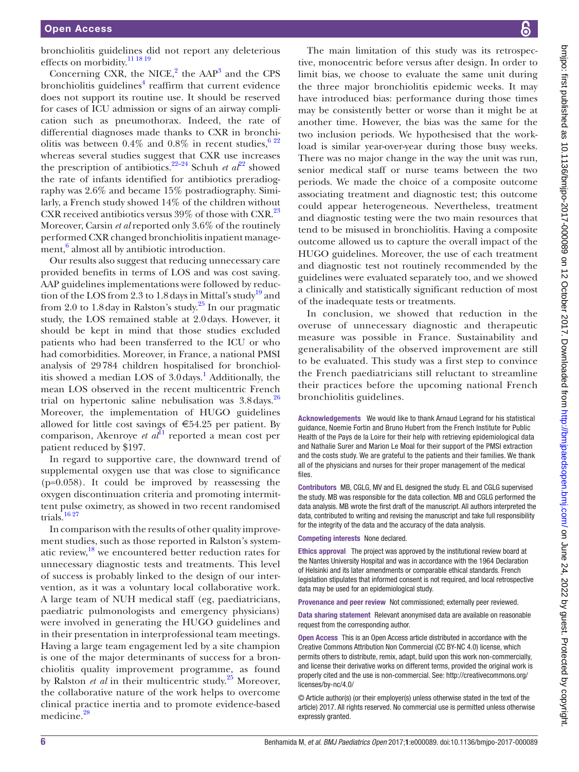bronchiolitis guidelines did not report any deleterious effects on morbidity.<sup>11 18 19</sup>

Concerning CXR, the NICE, $^2$  $^2$  the AAP<sup>3</sup> and the CPS bronchiolitis guidelines<sup>[4](#page-6-13)</sup> reaffirm that current evidence does not support its routine use. It should be reserved for cases of ICU admission or signs of an airway complication such as pneumothorax. Indeed, the rate of differential diagnoses made thanks to CXR in bronchiolitis was between 0.4% and 0.8% in recent studies,  $622$ whereas several studies suggest that CXR use increases the prescription of antibiotics.<sup>[22](#page-6-14)–24</sup> Schuh *et al*<sup>22</sup> showed the rate of infants identified for antibiotics preradiography was 2.6% and became 15% postradiography. Similarly, a French study showed 14% of the children without CXR received antibiotics versus 39% of those with CXR.<sup>[23](#page-6-15)</sup> Moreover, Carsin *et al* reported only 3.6% of the routinely performed CXR changed bronchiolitis inpatient manage- $\text{ment},^6$  $\text{ment},^6$  almost all by antibiotic introduction.

Our results also suggest that reducing unnecessary care provided benefits in terms of LOS and was cost saving. AAP guidelines implementations were followed by reduction of the LOS from 2.3 to 1.8 days in Mittal's study<sup>19</sup> and from 2.0 to 1.8 day in Ralston's study.<sup>25</sup> In our pragmatic study, the LOS remained stable at 2.0days. However, it should be kept in mind that those studies excluded patients who had been transferred to the ICU or who had comorbidities. Moreover, in France, a national PMSI analysis of 29784 children hospitalised for bronchiolitis showed a median LOS of  $3.0\,\text{days}$ .<sup>[1](#page-6-10)</sup> Additionally, the mean LOS observed in the recent multicentric French trial on hypertonic saline nebulisation was  $3.8 \text{ days}$ .<sup>[26](#page-6-18)</sup> Moreover, the implementation of HUGO guidelines allowed for little cost savings of  $\epsilon$ 54.25 per patient. By comparison, Akenroye *et al*<sup>11</sup> reported a mean cost per patient reduced by \$197.

In regard to supportive care, the downward trend of supplemental oxygen use that was close to significance (p=0.058). It could be improved by reassessing the oxygen discontinuation criteria and promoting intermittent pulse oximetry, as showed in two recent randomised trials.<sup>[16 27](#page-6-19)</sup>

In comparison with the results of other quality improvement studies, such as those reported in Ralston's systematic review, $^{18}$  $^{18}$  $^{18}$  we encountered better reduction rates for unnecessary diagnostic tests and treatments. This level of success is probably linked to the design of our intervention, as it was a voluntary local collaborative work. A large team of NUH medical staff (eg, paediatricians, paediatric pulmonologists and emergency physicians) were involved in generating the HUGO guidelines and in their presentation in interprofessional team meetings. Having a large team engagement led by a site champion is one of the major determinants of success for a bronchiolitis quality improvement programme, as found by Ralston *et al* in their multicentric study.<sup>[25](#page-6-17)</sup> Moreover, the collaborative nature of the work helps to overcome clinical practice inertia and to promote evidence-based medicine.<sup>[28](#page-6-21)</sup>

The main limitation of this study was its retrospective, monocentric before versus after design. In order to limit bias, we choose to evaluate the same unit during the three major bronchiolitis epidemic weeks. It may have introduced bias: performance during those times may be consistently better or worse than it might be at another time. However, the bias was the same for the two inclusion periods. We hypothesised that the workload is similar year-over-year during those busy weeks. There was no major change in the way the unit was run, senior medical staff or nurse teams between the two periods. We made the choice of a composite outcome associating treatment and diagnostic test; this outcome could appear heterogeneous. Nevertheless, treatment and diagnostic testing were the two main resources that tend to be misused in bronchiolitis. Having a composite outcome allowed us to capture the overall impact of the HUGO guidelines. Moreover, the use of each treatment and diagnostic test not routinely recommended by the guidelines were evaluated separately too, and we showed a clinically and statistically significant reduction of most of the inadequate tests or treatments.

In conclusion, we showed that reduction in the overuse of unnecessary diagnostic and therapeutic measure was possible in France. Sustainability and generalisability of the observed improvement are still to be evaluated. This study was a first step to convince the French paediatricians still reluctant to streamline their practices before the upcoming national French bronchiolitis guidelines.

Acknowledgements We would like to thank Arnaud Legrand for his statistical guidance, Noemie Fortin and Bruno Hubert from the French Institute for Public Health of the Pays de la Loire for their help with retrieving epidemiological data and Nathalie Surer and Marion Le Moal for their support of the PMSI extraction and the costs study. We are grateful to the patients and their families. We thank all of the physicians and nurses for their proper management of the medical files.

Contributors MB, CGLG, MV and EL designed the study. EL and CGLG supervised the study. MB was responsible for the data collection. MB and CGLG performed the data analysis. MB wrote the first draft of the manuscript. All authors interpreted the data, contributed to writing and revising the manuscript and take full responsibility for the integrity of the data and the accuracy of the data analysis.

Competing interests None declared.

Ethics approval The project was approved by the institutional review board at the Nantes University Hospital and was in accordance with the 1964 Declaration of Helsinki and its later amendments or comparable ethical standards. French legislation stipulates that informed consent is not required, and local retrospective data may be used for an epidemiological study.

Provenance and peer review Not commissioned; externally peer reviewed.

Data sharing statement Relevant anonymised data are available on reasonable request from the corresponding author.

Open Access This is an Open Access article distributed in accordance with the Creative Commons Attribution Non Commercial (CC BY-NC 4.0) license, which permits others to distribute, remix, adapt, build upon this work non-commercially, and license their derivative works on different terms, provided the original work is properly cited and the use is non-commercial. See: [http://creativecommons.org/](http://creativecommons.org/licenses/by-nc/4.0/) [licenses/by-nc/4.0/](http://creativecommons.org/licenses/by-nc/4.0/)

© Article author(s) (or their employer(s) unless otherwise stated in the text of the article) 2017. All rights reserved. No commercial use is permitted unless otherwise expressly granted.